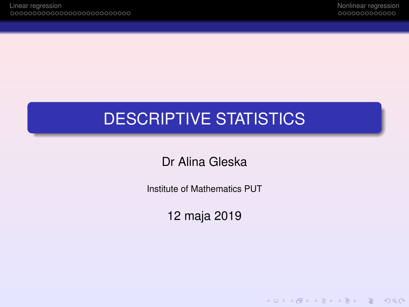**KOD KAD KED KED E VAN** 

# DESCRIPTIVE STATISTICS

Dr Alina Gleska

Institute of Mathematics PUT

12 maja 2019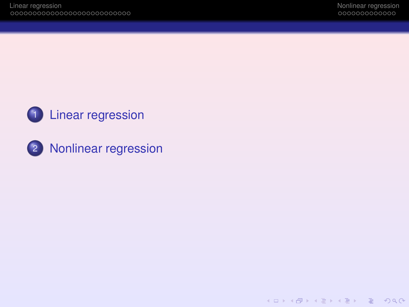



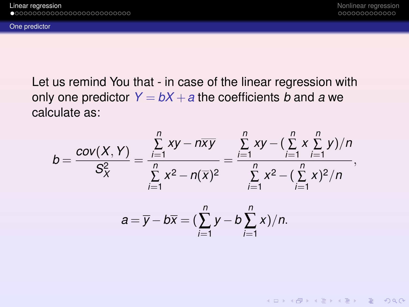<span id="page-2-0"></span>[One predictor](#page-2-0)

**KOD KAD KED KED E VAN** 

Let us remind You that - in case of the linear regression with only one predictor  $Y = bX + a$  the coefficients *b* and *a* we calculate as:

$$
b = \frac{cov(X, Y)}{S_X^2} = \frac{\sum_{i=1}^n xy - n\overline{xy}}{\sum_{i=1}^n x^2 - n(\overline{x})^2} = \frac{\sum_{i=1}^n xy - (\sum_{i=1}^n x \sum_{i=1}^n y)/n}{\sum_{i=1}^n x^2 - (\sum_{i=1}^n x)^2/n},
$$

$$
a=\overline{y}-b\overline{x}=(\sum_{i=1}^n y-b\sum_{i=1}^n x)/n.
$$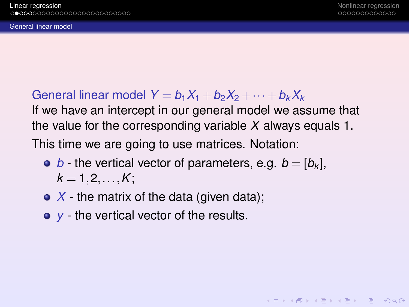**KOD KAD KED KED E VAN** 

<span id="page-3-0"></span>[General linear model](#page-3-0)

General linear model  $Y = b_1X_1 + b_2X_2 + \cdots + b_kX_k$ If we have an intercept in our general model we assume that the value for the corresponding variable *X* always equals 1. This time we are going to use matrices. Notation:

- *b* the vertical vector of parameters, e.g.  $b = [b_k]$ ,  $k = 1, 2, ..., K$ ;
- X the matrix of the data (given data);
- *y* the vertical vector of the results.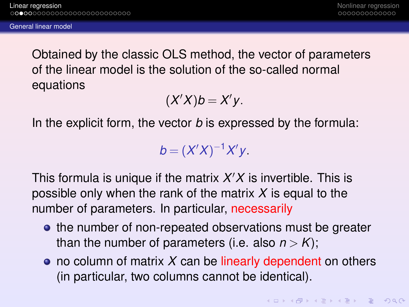<span id="page-4-0"></span>[General linear model](#page-4-0)

Obtained by the classic OLS method, the vector of parameters of the linear model is the solution of the so-called normal equations

$$
(X'X)b=X'y.
$$

In the explicit form, the vector *b* is expressed by the formula:

*b* =  $(X'X)^{-1}X'y$ .

This formula is unique if the matrix *X* <sup>0</sup>*X* is invertible. This is possible only when the rank of the matrix *X* is equal to the number of parameters. In particular, necessarily

- the number of non-repeated observations must be greater than the number of parameters (i.e. also  $n > K$ );
- no column of matrix X can be linearly dependent on others (in particular, two columns cannot be identical).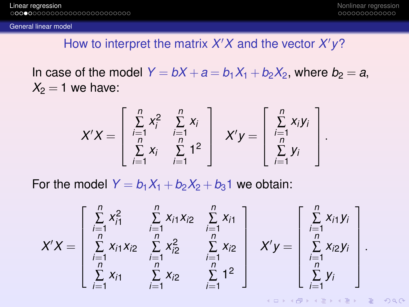.

KEL KARIKEN (EN 1990)

#### <span id="page-5-0"></span>[General linear model](#page-5-0)

### How to interpret the matrix *X'X* and the vector *X'y*?

In case of the model  $Y = bX + a = b_1X_1 + b_2X_2$ , where  $b_2 = a$ ,  $X_2 = 1$  we have:

$$
X'X = \left[\begin{array}{ccc} \sum\limits_{i=1}^{n} x_i^2 & \sum\limits_{i=1}^{n} x_i \\ \sum\limits_{i=1}^{n} x_i & \sum\limits_{i=1}^{n} 1^2 \end{array}\right] X'y = \left[\begin{array}{c} \sum\limits_{i=1}^{n} x_i y_i \\ \sum\limits_{i=1}^{n} y_i \end{array}\right]
$$

For the model  $Y = b_1X_1 + b_2X_2 + b_3$  we obtain:

$$
X'X = \begin{bmatrix} \sum_{i=1}^{n} x_{i1}^{2} & \sum_{i=1}^{n} x_{i1}x_{i2} & \sum_{i=1}^{n} x_{i1} \\ \sum_{i=1}^{n} x_{i1}x_{i2} & \sum_{i=1}^{n} x_{i2}^{2} & \sum_{i=1}^{n} x_{i2} \\ \sum_{i=1}^{n} x_{i1} & \sum_{i=1}^{n} x_{i2} & \sum_{i=1}^{n} 1^{2} \end{bmatrix} X'y = \begin{bmatrix} \sum_{i=1}^{n} x_{i1}y_{i} \\ \sum_{i=1}^{n} x_{i2}y_{i} \\ \sum_{i=1}^{n} y_{i} \end{bmatrix}.
$$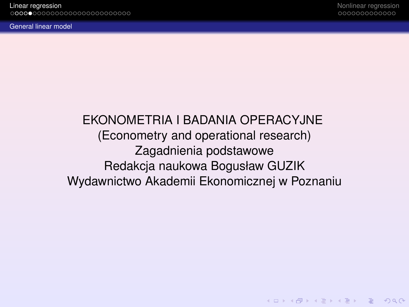**KOD CONTRACT A BOARD OF A GOV** 

### <span id="page-6-0"></span>EKONOMETRIA I BADANIA OPERACYJNE (Econometry and operational research) Zagadnienia podstawowe Redakcja naukowa Bogusław GUZIK Wydawnictwo Akademii Ekonomicznej w Poznaniu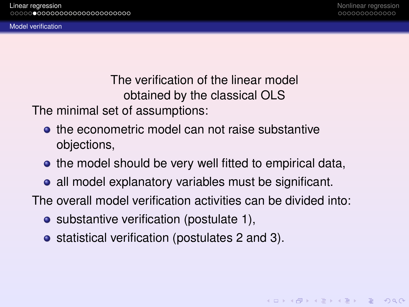<span id="page-7-0"></span>[Model verification](#page-7-0)

The verification of the linear model obtained by the classical OLS

The minimal set of assumptions:

- **•** the econometric model can not raise substantive objections,
- the model should be very well fitted to empirical data,
- all model explanatory variables must be significant.
- The overall model verification activities can be divided into:
	- substantive verification (postulate 1),
	- statistical verification (postulates 2 and 3).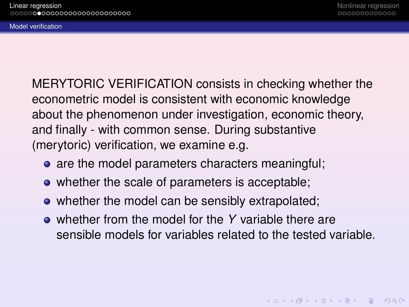<span id="page-8-0"></span>[Model verification](#page-8-0)

MERYTORIC VERIFICATION consists in checking whether the econometric model is consistent with economic knowledge about the phenomenon under investigation, economic theory, and finally - with common sense. During substantive (merytoric) verification, we examine e.g.

- are the model parameters characters meaningful;
- whether the scale of parameters is acceptable;
- whether the model can be sensibly extrapolated;
- whether from the model for the *Y* variable there are sensible models for variables related to the tested variable.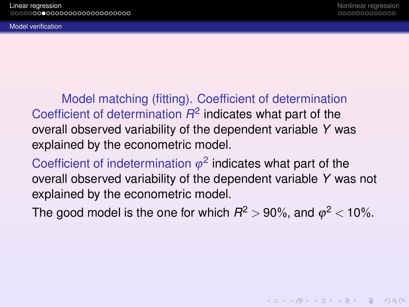**KOD KAD KED KED E VAN** 

<span id="page-9-0"></span>[Model verification](#page-9-0)

Model matching (fitting). Coefficient of determination Coefficient of determination  $R^2$  indicates what part of the overall observed variability of the dependent variable *Y* was explained by the econometric model.

Coefficient of indetermination  $\varphi^2$  indicates what part of the overall observed variability of the dependent variable *Y* was not explained by the econometric model.

The good model is the one for which  $R^2$   $>$  90%, and  $\varphi^2$   $<$  10%.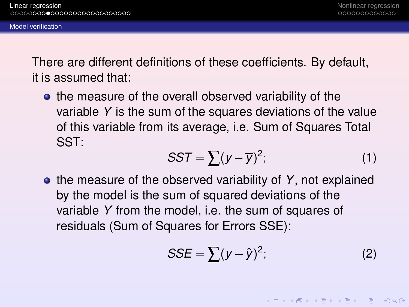<span id="page-10-0"></span>[Model verification](#page-10-0)

There are different definitions of these coefficients. By default, it is assumed that:

• the measure of the overall observed variability of the variable *Y* is the sum of the squares deviations of the value of this variable from its average, i.e. Sum of Squares Total SST:

$$
SST = \sum (y - \overline{y})^2; \tag{1}
$$

• the measure of the observed variability of Y, not explained by the model is the sum of squared deviations of the variable *Y* from the model, i.e. the sum of squares of residuals (Sum of Squares for Errors SSE):

$$
SSE = \sum (y - \hat{y})^2; \tag{2}
$$

**KOD KARD KED KED DAR**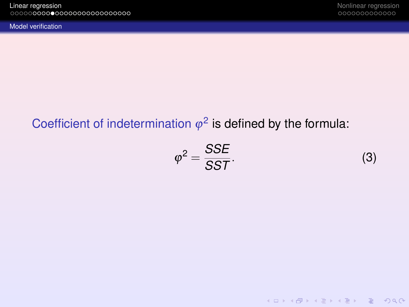<span id="page-11-0"></span>[Model verification](#page-11-0)

KID KARA KE KAEK LE YO GO

## Coefficient of indetermination  $\varphi^2$  is defined by the formula:

<span id="page-11-1"></span>
$$
\varphi^2 = \frac{SSE}{SST}.\tag{3}
$$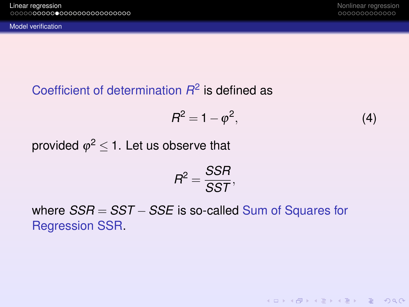**KOD KAD KED KED E VAN** 

### <span id="page-12-0"></span>Coefficient of determination *R* 2 is defined as

$$
R^2 = 1 - \varphi^2,\tag{4}
$$

provided  $\varphi^2$   $\leq$  1. Let us observe that

$$
R^2 = \frac{SSR}{SST},
$$

where *SSR* = *SST* −*SSE* is so-called Sum of Squares for Regression SSR.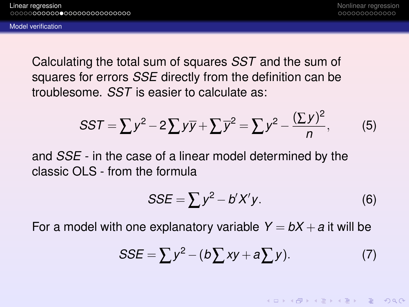<span id="page-13-0"></span>Calculating the total sum of squares *SST* and the sum of squares for errors *SSE* directly from the definition can be troublesome. *SST* is easier to calculate as:

$$
SST = \sum y^2 - 2\sum y\overline{y} + \sum \overline{y}^2 = \sum y^2 - \frac{(\sum y)^2}{n},
$$
 (5)

and *SSE* - in the case of a linear model determined by the classic OLS - from the formula

$$
SSE = \sum y^2 - b'X'y.
$$
 (6)

For a model with one explanatory variable  $Y = bX + a$  it will be

$$
SSE = \sum y^2 - (b\sum xy + a\sum y). \tag{7}
$$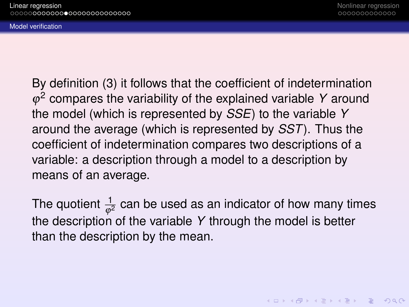<span id="page-14-0"></span>[Model verification](#page-14-0)

By definition [\(3\)](#page-11-1) it follows that the coefficient of indetermination ϕ <sup>2</sup> compares the variability of the explained variable *Y* around the model (which is represented by *SSE*) to the variable *Y* around the average (which is represented by *SST*). Thus the coefficient of indetermination compares two descriptions of a variable: a description through a model to a description by means of an average.

The quotient  $\frac{1}{\varphi^2}$  can be used as an indicator of how many times the description of the variable *Y* through the model is better than the description by the mean.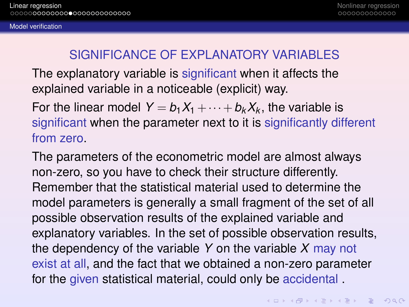#### <span id="page-15-0"></span>[Model verification](#page-15-0)

### SIGNIFICANCE OF EXPLANATORY VARIABLES

The explanatory variable is significant when it affects the explained variable in a noticeable (explicit) way.

For the linear model  $Y = b_1X_1 + \cdots + b_kX_k$ , the variable is significant when the parameter next to it is significantly different from zero.

The parameters of the econometric model are almost always non-zero, so you have to check their structure differently. Remember that the statistical material used to determine the model parameters is generally a small fragment of the set of all possible observation results of the explained variable and explanatory variables. In the set of possible observation results, the dependency of the variable *Y* on the variable *X* may not exist at all, and the fact that we obtained a non-zero parameter for the given statistical material, could only be accidental .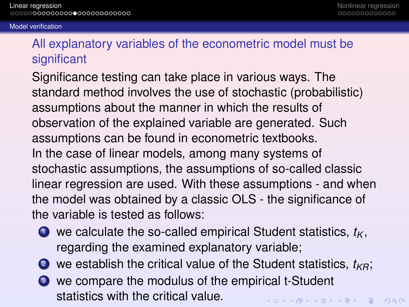#### <span id="page-16-0"></span>[Model verification](#page-16-0)

### All explanatory variables of the econometric model must be significant

Significance testing can take place in various ways. The standard method involves the use of stochastic (probabilistic) assumptions about the manner in which the results of observation of the explained variable are generated. Such assumptions can be found in econometric textbooks. In the case of linear models, among many systems of stochastic assumptions, the assumptions of so-called classic linear regression are used. With these assumptions - and when the model was obtained by a classic OLS - the significance of the variable is tested as follows:

- $\bullet$  we calculate the so-called empirical Student statistics,  $t_K$ , regarding the examined explanatory variable;
- 2 we establish the critical value of the Student statistics,  $t_{KR}$ ;
- <sup>3</sup> we compare the modulus of the empirical t-Student statistics with the critical value.**KOD KARD KED KED DAR**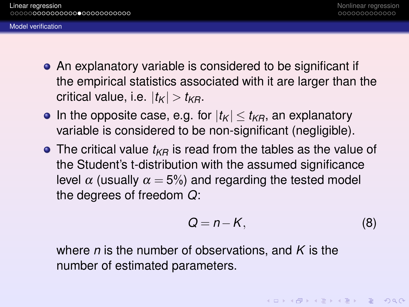- <span id="page-17-0"></span>An explanatory variable is considered to be significant if the empirical statistics associated with it are larger than the critical value, i.e.  $|t_K| > t_{KR}$ .
- In the opposite case, e.g. for  $|t_K| \le t_{KR}$ , an explanatory variable is considered to be non-significant (negligible).
- $\bullet$  The critical value  $t_{KR}$  is read from the tables as the value of the Student's t-distribution with the assumed significance level  $\alpha$  (usually  $\alpha = 5\%$ ) and regarding the tested model the degrees of freedom *Q*:

$$
Q = n - K, \tag{8}
$$

where *n* is the number of observations, and *K* is the number of estimated parameters.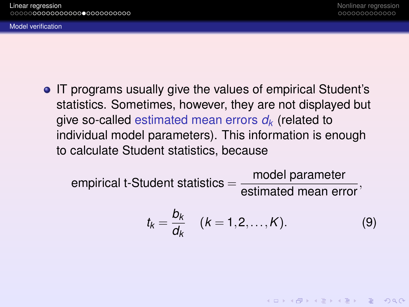<span id="page-18-0"></span>[Model verification](#page-18-0)

• IT programs usually give the values of empirical Student's statistics. Sometimes, however, they are not displayed but give so-called estimated mean errors *d<sup>k</sup>* (related to individual model parameters). This information is enough to calculate Student statistics, because

empirical t-Student statistics =  $\frac{\text{model parameter}}{\text{estimated mean error}},$ 

<span id="page-18-1"></span>
$$
t_k = \frac{b_k}{d_k} \quad (k = 1, 2, \dots, K). \tag{9}
$$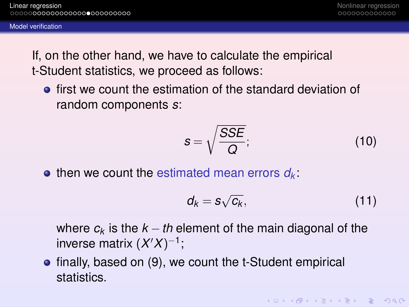<span id="page-19-0"></span>If, on the other hand, we have to calculate the empirical t-Student statistics, we proceed as follows:

**•** first we count the estimation of the standard deviation of random components *s*:

$$
s = \sqrt{\frac{SSE}{Q}};
$$
 (10)

 $\bullet$  then we count the estimated mean errors  $d_k$ .

$$
d_k = s\sqrt{c_k},\qquad(11)
$$

**KOD KARD KED KED DAR** 

where  $c_k$  is the  $k - th$  element of the main diagonal of the inverse matrix  $(X'X)^{-1}$ ;

• finally, based on [\(9\)](#page-18-1), we count the t-Student empirical statistics.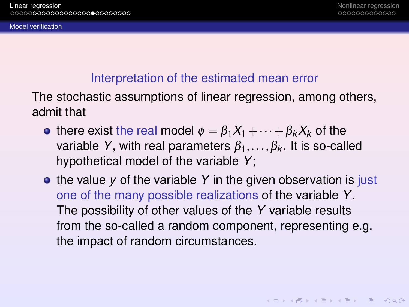### Interpretation of the estimated mean error

<span id="page-20-0"></span>The stochastic assumptions of linear regression, among others, admit that

- **•** there exist the real model  $\phi = \beta_1 X_1 + \cdots + \beta_k X_k$  of the variable *Y*, with real parameters  $\beta_1, \ldots, \beta_k$ . It is so-called hypothetical model of the variable *Y*;
- the value *y* of the variable *Y* in the given observation is just one of the many possible realizations of the variable *Y*. The possibility of other values of the *Y* variable results from the so-called a random component, representing e.g. the impact of random circumstances.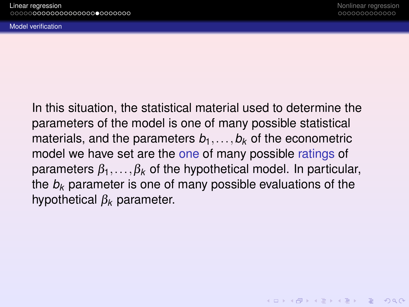<span id="page-21-0"></span>[Model verification](#page-21-0)

In this situation, the statistical material used to determine the parameters of the model is one of many possible statistical materials, and the parameters  $b_1, \ldots, b_k$  of the econometric model we have set are the one of many possible ratings of parameters  $\beta_1, \ldots, \beta_k$  of the hypothetical model. In particular, the *b<sup>k</sup>* parameter is one of many possible evaluations of the hypothetical β*<sup>k</sup>* parameter.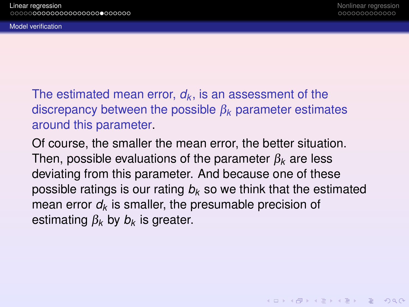<span id="page-22-0"></span>[Model verification](#page-22-0)

The estimated mean error, *d<sup>k</sup>* , is an assessment of the discrepancy between the possible β*<sup>k</sup>* parameter estimates around this parameter.

Of course, the smaller the mean error, the better situation. Then, possible evaluations of the parameter β*<sup>k</sup>* are less deviating from this parameter. And because one of these possible ratings is our rating *b<sup>k</sup>* so we think that the estimated mean error  $d_k$  is smaller, the presumable precision of estimating β*<sup>k</sup>* by *b<sup>k</sup>* is greater.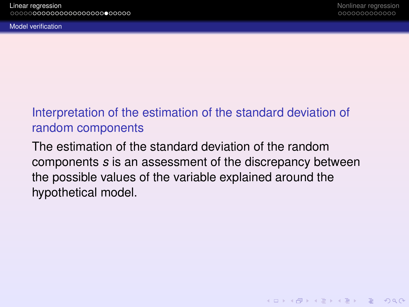**KOD CONTRACT A BOARD OF A GOV** 

### <span id="page-23-0"></span>Interpretation of the estimation of the standard deviation of random components

The estimation of the standard deviation of the random components *s* is an assessment of the discrepancy between the possible values of the variable explained around the hypothetical model.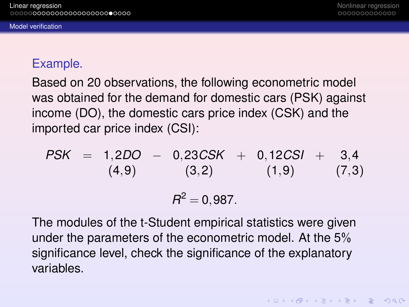### <span id="page-24-0"></span>[Model verification](#page-24-0)

### Example.

Based on 20 observations, the following econometric model was obtained for the demand for domestic cars (PSK) against income (DO), the domestic cars price index (CSK) and the imported car price index (CSI):

PSK = 1,2DO - 0,23CSK + 0,12CSI + 3,4  
\n(4,9) (3,2) (1,9) (7,3)  
\n
$$
R^2 = 0,987.
$$

The modules of the t-Student empirical statistics were given under the parameters of the econometric model. At the 5% significance level, check the significance of the explanatory variables.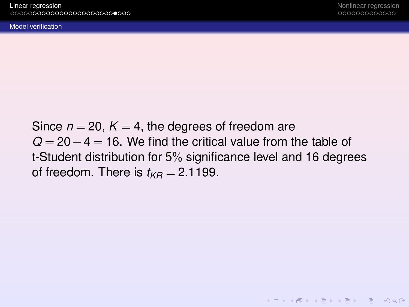**KOD CONTRACT A BOARD OF A GOV** 

<span id="page-25-0"></span>[Model verification](#page-25-0)

Since  $n = 20$ ,  $K = 4$ , the degrees of freedom are *Q* = 20 − 4 = 16. We find the critical value from the table of t-Student distribution for 5% significance level and 16 degrees of freedom. There is  $t_{KR} = 2.1199$ .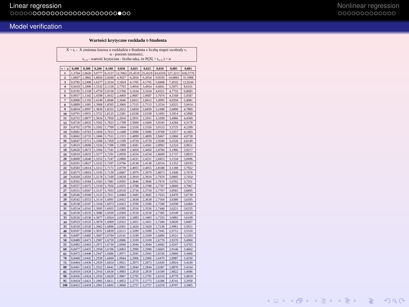K □ ▶ K @ ▶ K 할 > K 할 > 1 할 > 9 Q Q\*

#### <span id="page-26-0"></span>[Model verification](#page-26-0)

#### **Warto** ś**ci krytyczne rozkładu t-Studenta**

X – t<sub>v</sub> - X zmienna losowa o rozkładzie t-Studenta z liczbą stopni swobody ν,  $α$  - poziom istotności,<br>t<sub>v, α</sub> - wartość krytyczna - liczba taka, że P(|X| > t<sub>v, α</sub> ) = α

| $v \perp o$             | 0.400  | 0,300  | 0.200  | 0.100  | 0.050   | 0.025   | 0.025   | 0.010   | 0.005    | 0.001    |
|-------------------------|--------|--------|--------|--------|---------|---------|---------|---------|----------|----------|
| ī                       | 1.3764 | 1.9626 | 3.0777 | 6.3137 | 12,7062 | 25.4519 | 25.4519 | 63,6559 | 127.3211 | 636,5776 |
| $\overline{\mathbf{c}}$ | 1.0607 | 1.3862 | 1,8856 | 2.9200 | 4.3027  | 6.2054  | 6,2054  | 9.9250  | 14,0892  | 31.5998  |
| 3                       | 0.9785 | 1.2498 | 1,6377 | 2.3534 | 3.1824  | 4.1765  | 4.1765  | 5.8408  | 7,4532   | 12.9244  |
| $\ddot{ }$              | 0.9410 | 1.1896 | 15332  | 2.1318 | 2.7765  | 3,4954  | 3,4954  | 4,6041  | 5.5975   | 8,6101   |
| 5                       | 0.9195 | 1.1558 | 1,4759 | 2.0150 | 2,5706  | 3.1634  | 3,1634  | 4.0321  | 4,7733   | 6,8685   |
| 6                       | 0.9057 | 1.1342 | 1,4398 | 1.9432 | 2.4469  | 2.9687  | 2.9687  | 3,7074  | 4,3168   | 5.9587   |
| 7                       | 0.8960 | 1.1192 | 1,4149 | 1.8946 | 2.3646  | 2.8412  | 2.8412  | 3.4995  | 4.0294   | 5,4081   |
| $\bf{8}$                | 0.8889 | 1.1081 | 1.3968 | 1.8595 | 2.3060  | 2.7515  | 2.7515  | 3.3554  | 3,8325   | 5.0414   |
| 9                       | 0.8834 | 1.0997 | 1,3830 | 1.8331 | 2.2622  | 2.6850  | 2,6850  | 3.2498  | 3.6896   | 4,7809   |
| 10                      | 0.8791 | 1.0931 | 13722  | 1.8125 | 2.2281  | 2.6338  | 2,6338  | 3.1693  | 3.5814   | 4,5868   |
| $\mathbf{11}$           | 0.8755 | 1.0877 | 1.3634 | 1,7959 | 2.2010  | 2.5931  | 2.5931  | 3.1058  | 3,4966   | 4,4369   |
| 12                      | 0.8726 | 1.0832 | 1.3562 | 1.7823 | 2.1788  | 2.5600  | 2,5600  | 3.0545  | 3,4284   | 4,3178   |
| 13                      | 0.8702 | 1.0795 | 1.3502 | 1.7709 | 2.1604  | 2.5326  | 2.5326  | 3,0123  | 3.3725   | 4.2209   |
| 14                      | 0.8681 | 1.0763 | 1.3450 | 1.7613 | 2.1448  | 2.5096  | 2.5096  | 2.9768  | 3.3257   | 4,1403   |
| 15                      | 0.8662 | 1.0735 | 1.3406 | 1.7531 | 2.1315  | 2.4899  | 2,4899  | 2,9467  | 3,2860   | 4.0728   |
| 16                      | 0.8647 | 1.0711 | 13368  | 1.7459 | 2.1199  | 2.4729  | 2.4729  | 2.9208  | 3.2520   | 4.0149   |
| 17                      | 0.8633 | 1.0690 | 1,3334 | 1.7396 | 2.1098  | 2.4581  | 2.4581  | 2.8982  | 3.2224   | 3.9651   |
| 18                      | 0.8620 | 1.0672 | 1,3304 | 1.7341 | 2.1009  | 2.4450  | 2,4450  | 2.8784  | 3.1966   | 3.9217   |
| 19                      | 0.8610 | 1.0655 | 1.3277 | 1.7291 | 2.0930  | 2.4334  | 2,4334  | 2.8609  | 3.1737   | 3,8833   |
| 20                      | 0.8600 | 1.0640 | 1.3253 | 1.7247 | 2.0860  | 2.4231  | 2.4231  | 2.8453  | 3.1534   | 3.8496   |
| 21                      | 0.8591 | 1.0627 | 1.3232 | 1,7207 | 2,0796  | 2.4138  | 2.4138  | 2.8314  | 3.1352   | 3,8193   |
| 22                      | 0.8583 | 1,0614 | 1.3212 | 1.7171 | 2.0739  | 2.4055  | 2.4055  | 2.8188  | 3.1188   | 3.7922   |
| 23                      | 0.8575 | 1,0603 | 1.3195 | 1.7139 | 2.0687  | 2.3979  | 2,3979  | 2.8073  | 3.1040   | 3,7676   |
| 24                      | 0.8569 | 1.0593 | 1.3178 | 1.7109 | 2.0639  | 2.3910  | 2.3910  | 2.7970  | 3,0905   | 3.7454   |
| 25                      | 0.8562 | 1.0584 | 1.3163 | 1.7081 | 2.0595  | 2.3846  | 2.3846  | 2.7874  | 3,0782   | 3.7251   |
| 26                      | 0.8557 | 1,0575 | 1.3150 | 1.7056 | 2.0555  | 2.3788  | 2.3788  | 2,7787  | 3,0669   | 3.7067   |
| 27                      | 0.8551 | 1.0567 | 1.3137 | 1.7033 | 2.0518  | 2.3734  | 2.3734  | 2.7707  | 3,0565   | 3.6895   |
| 28                      | 0.8546 | 1.0560 | 1.3125 | 1.7011 | 2.0484  | 2.3685  | 2.3685  | 2.7633  | 3,0470   | 3.6739   |
| 29                      | 0.8542 | 1,0553 | 1,3114 | 1,6991 | 2,0452  | 2.3638  | 2,3638  | 2,7564  | 3,0380   | 3,6595   |
| 30                      | 0.8538 | 1.0547 | 1.3104 | 1.6973 | 2.0423  | 2.3596  | 2.3596  | 2.7500  | 3.0298   | 3.6460   |
| 31                      | 0.8534 | 1.0541 | 1.3095 | 1.6955 | 2.0395  | 2.3556  | 2.3556  | 2.7440  | 3.0221   | 3.6335   |
| 32                      | 0.8530 | 1.0535 | 1,3086 | 1.6939 | 2.0369  | 7.3518  | 7.3518  | 2.7385  | 3.0149   | 3.6218   |
| 33                      | 0.8526 | 1.0530 | 1,3077 | 1.6924 | 2.0345  | 2.3483  | 2.3483  | 2.7333  | 3,0082   | 3.6109   |
| 34                      | 0.8523 | 1.0525 | 1,3070 | 1.6909 | 2.0322  | 2.3451  | 2.3451  | 2.7284  | 3,0020   | 3.6007   |
| 35                      | 0.8520 | 1.0520 | 1.3062 | 1.6896 | 2.0301  | 2.3420  | 2.3420  | 2.7238  | 2.9961   | 3.5911   |
| 40                      | 0.8507 | 1.0500 | 1,3031 | 1.6839 | 2.0211  | 2.3289  | 2.3289  | 2.7045  | 2.9712   | 3.5510   |
| 45                      | 0.8497 | 1,0485 | 1.3007 | 1.6794 | 2.0141  | 2.3189  | 2.3189  | 2.6896  | 2.9521   | 3.5203   |
| 50                      | 0.8489 | 1.0473 | 1,2987 | 1.6759 | 2.0086  | 2.3109  | 2.3109  | 2.6778  | 2.9370   | 3,4960   |
| 55                      | 0.8482 | 1,0463 | 1,2971 | 1.6730 | 2,0040  | 2.3044  | 2.3044  | 2.6682  | 2,9247   | 3,4765   |
| 60                      | 0.8477 | 1.0455 | 1.2958 | 1.6706 | 2,0003  | 2.2990  | 2,2990  | 2.6603  | 2.9146   | 3,4602   |
| 65                      | 0.8472 | 1.0448 | 1,2947 | 1.6686 | 1.9971  | 2.2945  | 2.2945  | 2.6536  | 2,9060   | 3,4466   |
| 70                      | 0.8468 | 1.0442 | 1,2938 | 1.6669 | 1.9944  | 2,2906  | 2.2906  | 2.6479  | 2,8987   | 3,4350   |
| 75                      | 0.8464 | 1.0436 | 1.2929 | 1.6654 | 1.9921  | 2.2873  | 2.2873  | 2.6430  | 2.8924   | 3,4249   |
| 80                      | 0.8461 | 1.0432 | 1.2922 | 1.6641 | 1.9901  | 2.2844  | 2.2844  | 2.6387  | 2,8870   | 3,4164   |
| 85                      | 0.8459 | 1.0428 | 1.2916 | 1.6630 | 1.9883  | 2.2818  | 2.2818  | 2.6349  | 2.8822   | 3,4086   |
| 90                      | 0.8456 | 1.0424 | 1.2910 | 1.6620 | 1.9867  | 2.2795  | 2.2795  | 2.6316  | 2.8779   | 3,4019   |
| 95                      | 0.8454 | 1.0421 | 1.2905 | 1.6611 | 1.9852  | 2.2775  | 2.2775  | 2.6286  | 2.8741   | 3.3958   |
| 100                     | 0.8452 | 1.0418 | 1.2901 | 1.6602 | 1.9840  | 2,2757  | 2.2757  | 2.6259  | 2,8707   | 3,3905   |
|                         |        |        |        |        |         |         |         |         |          |          |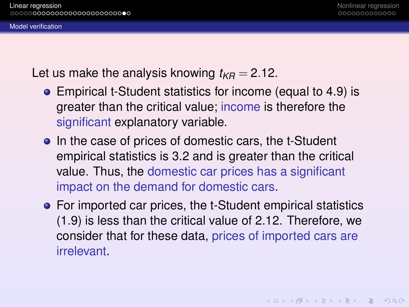#### <span id="page-27-0"></span>[Model verification](#page-27-0)

Let us make the analysis knowing  $t_{KB} = 2.12$ .

- Empirical t-Student statistics for income (equal to 4.9) is greater than the critical value; income is therefore the significant explanatory variable.
- In the case of prices of domestic cars, the t-Student empirical statistics is 3.2 and is greater than the critical value. Thus, the domestic car prices has a significant impact on the demand for domestic cars.
- For imported car prices, the t-Student empirical statistics (1.9) is less than the critical value of 2.12. Therefore, we consider that for these data, prices of imported cars are **irrelevant**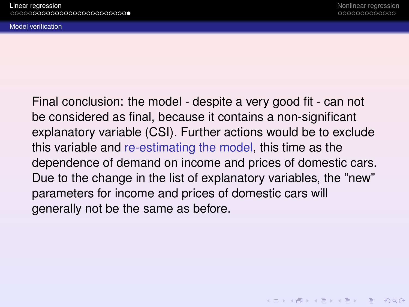**KOD CONTRACT A BOARD OF A GOV** 

<span id="page-28-0"></span>[Model verification](#page-28-0)

Final conclusion: the model - despite a very good fit - can not be considered as final, because it contains a non-significant explanatory variable (CSI). Further actions would be to exclude this variable and re-estimating the model, this time as the dependence of demand on income and prices of domestic cars. Due to the change in the list of explanatory variables, the "new" parameters for income and prices of domestic cars will generally not be the same as before.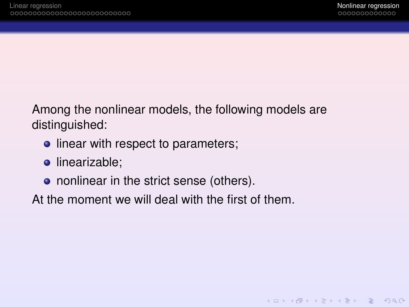<span id="page-29-0"></span>Among the nonlinear models, the following models are distinguished:

- linear with respect to parameters;
- **·** linearizable;
- nonlinear in the strict sense (others).

At the moment we will deal with the first of them.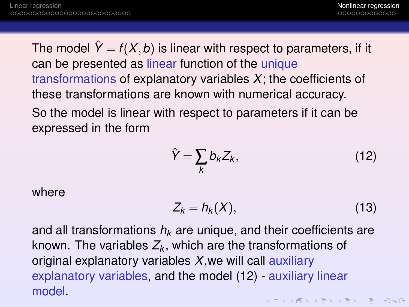The model  $\hat{Y} = f(X, b)$  is linear with respect to parameters, if it can be presented as linear function of the unique transformations of explanatory variables *X*; the coefficients of these transformations are known with numerical accuracy. So the model is linear with respect to parameters if it can be

expressed in the form

<span id="page-30-0"></span>
$$
\hat{Y} = \sum_{k} b_k Z_k, \tag{12}
$$

where

$$
Z_k = h_k(X), \tag{13}
$$

and all transformations *h<sup>k</sup>* are unique, and their coefficients are known. The variables  $Z_k$ , which are the transformations of original explanatory variables *X*,we will call auxiliary explanatory variables, and the model [\(12\)](#page-30-0) - auxiliary linear model.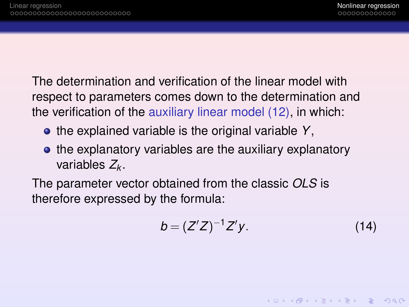The determination and verification of the linear model with respect to parameters comes down to the determination and the verification of the auxiliary linear model [\(12\)](#page-30-0), in which:

- the explained variable is the original variable Y,
- the explanatory variables are the auxiliary explanatory variables *Z<sup>k</sup>* .

The parameter vector obtained from the classic *OLS* is therefore expressed by the formula:

$$
b = (Z'Z)^{-1}Z'y.
$$
 (14)

**KOD KAD KED KED E VAN**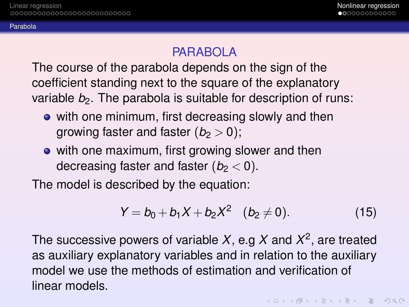<span id="page-32-0"></span>[Parabola](#page-32-0)

### PARABOLA

The course of the parabola depends on the sign of the coefficient standing next to the square of the explanatory variable *b<sub>2</sub>*. The parabola is suitable for description of runs:

- with one minimum, first decreasing slowly and then growing faster and faster  $(b<sub>2</sub> > 0)$ ;
- with one maximum, first growing slower and then decreasing faster and faster  $(b<sub>2</sub> < 0)$ .

The model is described by the equation:

$$
Y = b_0 + b_1 X + b_2 X^2 \quad (b_2 \neq 0).
$$
 (15)

The successive powers of variable *X*, e.g *X* and *X* 2 , are treated as auxiliary explanatory variables and in relation to the auxiliary model we use the methods of estimation and verification of linear models.

**KOD KARD KED KED DAR**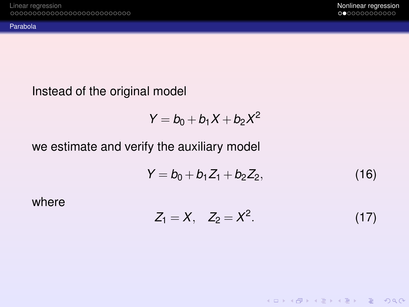**KOD KAD KED KED E VAN** 

<span id="page-33-0"></span>[Parabola](#page-33-0)

### Instead of the original model

$$
Y = b_0 + b_1 X + b_2 X^2
$$

### we estimate and verify the auxiliary model

$$
Y = b_0 + b_1 Z_1 + b_2 Z_2, \qquad (16)
$$

where

$$
Z_1 = X, \quad Z_2 = X^2. \tag{17}
$$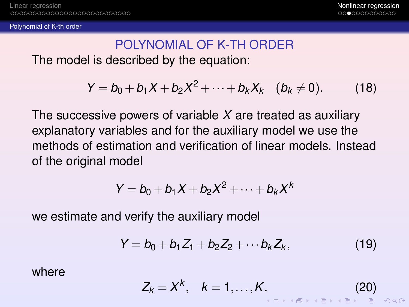<span id="page-34-0"></span>[Polynomial of K-th order](#page-34-0)

### POLYNOMIAL OF K-TH ORDER The model is described by the equation:

 $Y = b_0 + b_1 X + b_2 X^2 + \cdots + b_k X_k \quad (b_k \neq 0).$  (18)

The successive powers of variable *X* are treated as auxiliary explanatory variables and for the auxiliary model we use the methods of estimation and verification of linear models. Instead of the original model

$$
Y = b_0 + b_1 X + b_2 X^2 + \cdots + b_k X^k
$$

we estimate and verify the auxiliary model

$$
Y = b_0 + b_1 Z_1 + b_2 Z_2 + \cdots b_k Z_k, \qquad (19)
$$

where

$$
Z_k = X^k, \quad k = 1, \ldots, K. \tag{20}
$$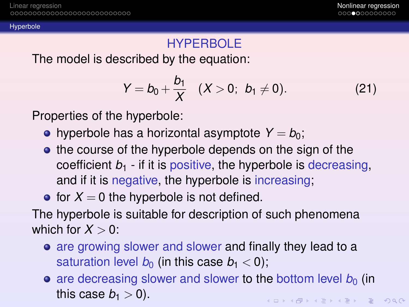<span id="page-35-0"></span>[Hyperbole](#page-35-0)

### HYPERBOLE

The model is described by the equation:

$$
Y = b_0 + \frac{b_1}{X} \quad (X > 0; \ \ b_1 \neq 0). \tag{21}
$$

Properties of the hyperbole:

- hyperbole has a horizontal asymptote  $Y = b_0$ ;
- the course of the hyperbole depends on the sign of the coefficient  $b_1$  - if it is positive, the hyperbole is decreasing, and if it is negative, the hyperbole is increasing;

### • for  $X = 0$  the hyperbole is not defined.

The hyperbole is suitable for description of such phenomena which for  $X > 0$ :

- are growing slower and slower and finally they lead to a saturation level  $b_0$  (in this case  $b_1 < 0$ );
- $\bullet$  are decreasing slower and slower to the bottom level  $b<sub>0</sub>$  (in this case  $b_1 > 0$ ). **KORKAR KERKER E VOQO**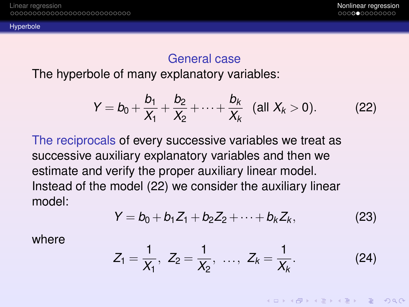<span id="page-36-0"></span>[Hyperbole](#page-36-0)

### General case

The hyperbole of many explanatory variables:

<span id="page-36-1"></span>
$$
Y = b_0 + \frac{b_1}{X_1} + \frac{b_2}{X_2} + \cdots + \frac{b_k}{X_k} \quad \text{(all } X_k > 0\text{)}.
$$
 (22)

The reciprocals of every successive variables we treat as successive auxiliary explanatory variables and then we estimate and verify the proper auxiliary linear model. Instead of the model [\(22\)](#page-36-1) we consider the auxiliary linear model:

$$
Y = b_0 + b_1 Z_1 + b_2 Z_2 + \dots + b_k Z_k, \tag{23}
$$

where

$$
Z_1 = \frac{1}{X_1}, Z_2 = \frac{1}{X_2}, \ldots, Z_k = \frac{1}{X_k}.
$$
 (24)

KEL KARIKEN (EN 1990)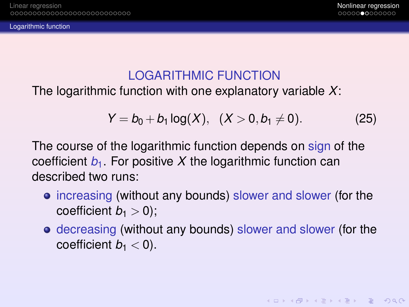<span id="page-37-0"></span>[Logarithmic function](#page-37-0)

**KOD KAD KED KED E VAN** 

### LOGARITHMIC FUNCTION

The logarithmic function with one explanatory variable *X*:

$$
Y = b_0 + b_1 \log(X), \quad (X > 0, b_1 \neq 0). \tag{25}
$$

The course of the logarithmic function depends on sign of the coefficient  $b_1$ . For positive X the logarithmic function can described two runs:

- increasing (without any bounds) slower and slower (for the coefficient  $b_1 > 0$ );
- decreasing (without any bounds) slower and slower (for the coefficient  $b_1 < 0$ ).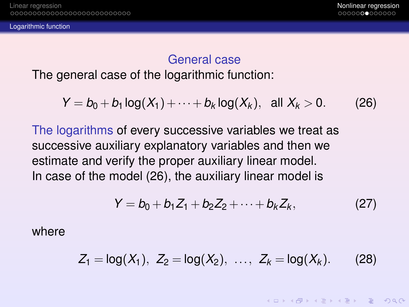KEL KARIKEN (EN 1990)

### General case

<span id="page-38-0"></span>The general case of the logarithmic function:

<span id="page-38-1"></span>
$$
Y = b_0 + b_1 \log(X_1) + \dots + b_k \log(X_k), \text{ all } X_k > 0. \tag{26}
$$

The logarithms of every successive variables we treat as successive auxiliary explanatory variables and then we estimate and verify the proper auxiliary linear model. In case of the model [\(26\)](#page-38-1), the auxiliary linear model is

$$
Y = b_0 + b_1 Z_1 + b_2 Z_2 + \dots + b_k Z_k, \qquad (27)
$$

where

$$
Z_1 = \log(X_1), \ Z_2 = \log(X_2), \ \ldots, \ Z_k = \log(X_k). \tag{28}
$$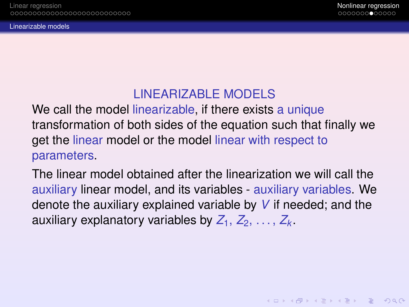### LINEARIZABLE MODELS

<span id="page-39-0"></span>We call the model linearizable, if there exists a unique transformation of both sides of the equation such that finally we get the linear model or the model linear with respect to parameters.

The linear model obtained after the linearization we will call the auxiliary linear model, and its variables - auxiliary variables. We denote the auxiliary explained variable by *V* if needed; and the auxiliary explanatory variables by  $Z_1, Z_2, \ldots, Z_k$ .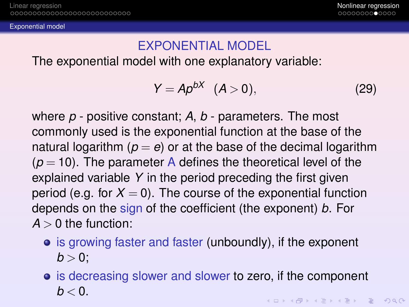<span id="page-40-0"></span>[Exponential model](#page-40-0)

### EXPONENTIAL MODEL

The exponential model with one explanatory variable:

$$
Y = Ap^{bX} \quad (A>0), \tag{29}
$$

where *p* - positive constant; *A*, *b* - parameters. The most commonly used is the exponential function at the base of the natural logarithm  $(p = e)$  or at the base of the decimal logarithm  $(p = 10)$ . The parameter A defines the theoretical level of the explained variable *Y* in the period preceding the first given period (e.g. for  $X = 0$ ). The course of the exponential function depends on the sign of the coefficient (the exponent) *b*. For  $A > 0$  the function:

- is growing faster and faster (unboundly), if the exponent  $b > 0$ :
- **•** is decreasing slower and slower to zero, if the component  $b < 0$ . KEL KARIKEN (EN 1990)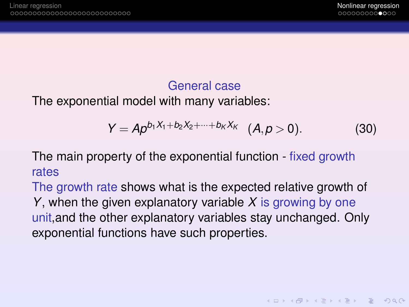**KOD KAD KED KED E VAN** 

### General case

The exponential model with many variables:

$$
Y = Ap^{b_1X_1+b_2X_2+\cdots+b_KX_K} (A, p > 0).
$$
 (30)

The main property of the exponential function - fixed growth rates

The growth rate shows what is the expected relative growth of *Y*, when the given explanatory variable *X* is growing by one unit,and the other explanatory variables stay unchanged. Only exponential functions have such properties.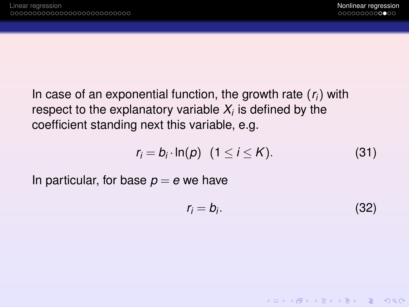In case of an exponential function, the growth rate (*ri*) with respect to the explanatory variable  $X_i$  is defined by the coefficient standing next this variable, e.g.

$$
r_i = b_i \cdot \ln(p) \quad (1 \leq i \leq K). \tag{31}
$$

In particular, for base  $p = e$  we have

$$
r_i = b_i. \tag{32}
$$

**KOD KARD KED KED DAR**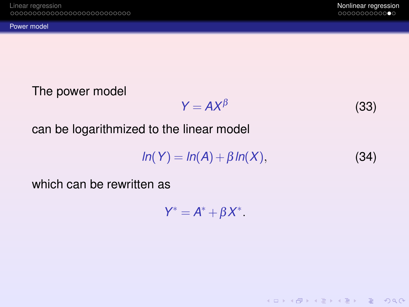**KOD KAD KED KED E VAN** 

### <span id="page-43-0"></span>The power model

$$
Y = AX^{\beta}
$$
 (33)

can be logarithmized to the linear model

$$
ln(Y) = ln(A) + \beta ln(X), \qquad (34)
$$

which can be rewritten as

$$
Y^* = A^* + \beta X^*.
$$